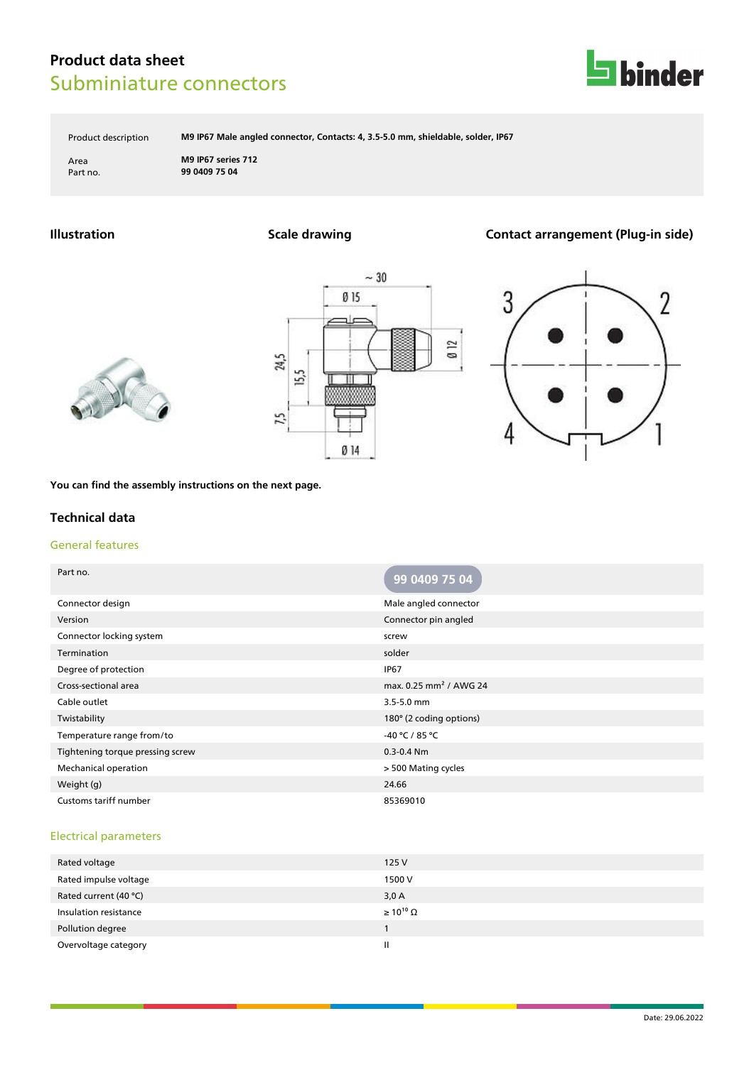

Product description **M9 IP67 Male angled connector, Contacts: 4, 3.5-5.0 mm, shieldable, solder, IP67**

Area **M9 IP67 series 712** Part no. **99 0409 75 04**

# **Illustration Scale drawing Contact arrangement (Plug-in side)**







**You can find the assembly instructions on the next page.**

### **Technical data**

### General features

| Part no.                         | 99 0409 75 04                      |
|----------------------------------|------------------------------------|
| Connector design                 | Male angled connector              |
| Version                          | Connector pin angled               |
| Connector locking system         | screw                              |
| Termination                      | solder                             |
| Degree of protection             | <b>IP67</b>                        |
| Cross-sectional area             | max. 0.25 mm <sup>2</sup> / AWG 24 |
| Cable outlet                     | $3.5 - 5.0$ mm                     |
| Twistability                     | 180° (2 coding options)            |
| Temperature range from/to        | -40 °C / 85 °C                     |
| Tightening torque pressing screw | $0.3 - 0.4$ Nm                     |
| <b>Mechanical operation</b>      | > 500 Mating cycles                |
| Weight (g)                       | 24.66                              |
| Customs tariff number            | 85369010                           |

### Electrical parameters

| 125V                  |
|-----------------------|
| 1500 V                |
| 3,0A                  |
| $\geq 10^{10} \Omega$ |
|                       |
| Ш                     |
|                       |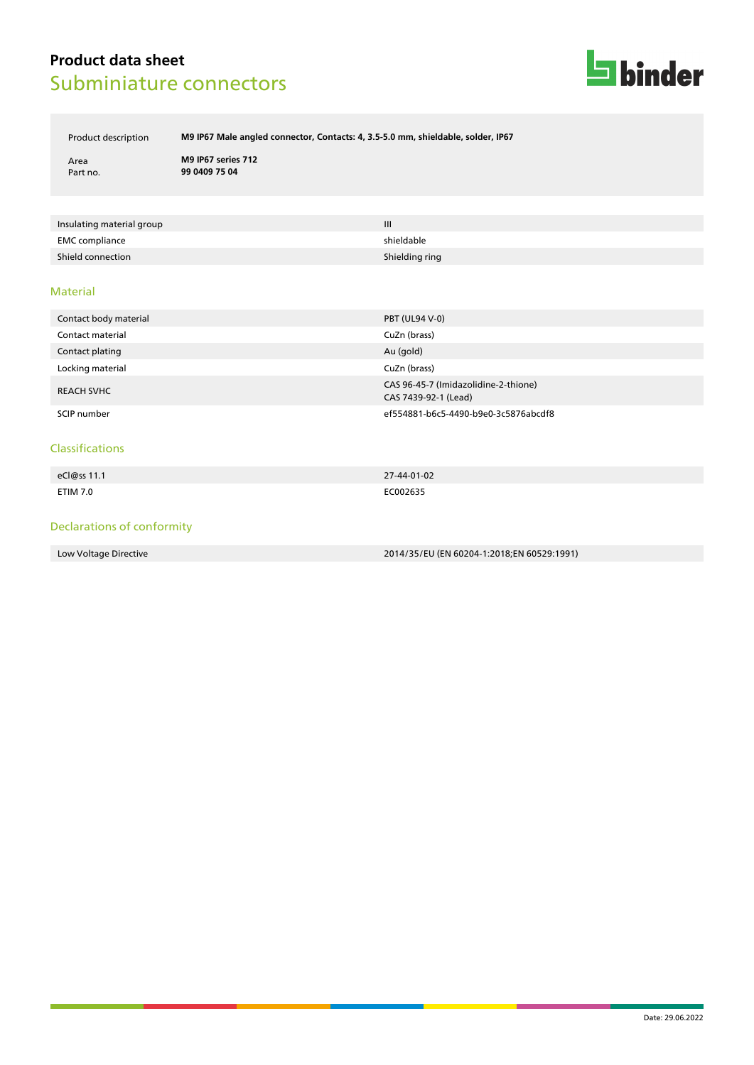

Product description **M9 IP67 Male angled connector, Contacts: 4, 3.5-5.0 mm, shieldable, solder, IP67**

Area **M9 IP67 series 712** Part no. **99 0409 75 04**

| Insulating material group | Ш              |
|---------------------------|----------------|
| <b>EMC</b> compliance     | shieldable     |
| Shield connection         | Shielding ring |

#### Material

| Contact body material | <b>PBT (UL94 V-0)</b>                                        |
|-----------------------|--------------------------------------------------------------|
| Contact material      | CuZn (brass)                                                 |
| Contact plating       | Au (gold)                                                    |
| Locking material      | CuZn (brass)                                                 |
| <b>REACH SVHC</b>     | CAS 96-45-7 (Imidazolidine-2-thione)<br>CAS 7439-92-1 (Lead) |
| SCIP number           | ef554881-b6c5-4490-b9e0-3c5876abcdf8                         |

#### Classifications

| eCl@ss 11.1 | 27-44-01-02 |
|-------------|-------------|
| ETIM 7.0    | EC002635    |

### Declarations of conformity

Low Voltage Directive 2014/35/EU (EN 60204-1:2018;EN 60529:1991)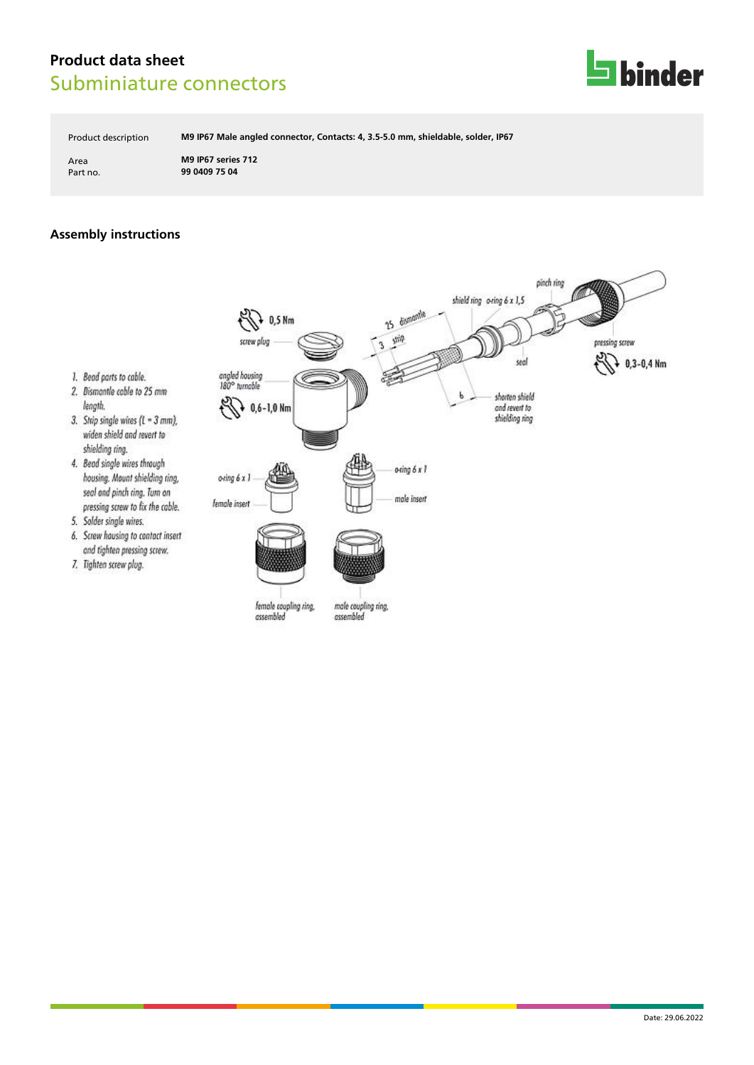

Product description **M9 IP67 Male angled connector, Contacts: 4, 3.5-5.0 mm, shieldable, solder, IP67**

Area **M9 IP67 series 712** Part no. **99 0409 75 04**

## **Assembly instructions**

1. Bead parts to cable.

5. Solder single wires.

7. Tighten screw plug.

widen shield and revert to shielding ring. 4. Bead single wires through

length.